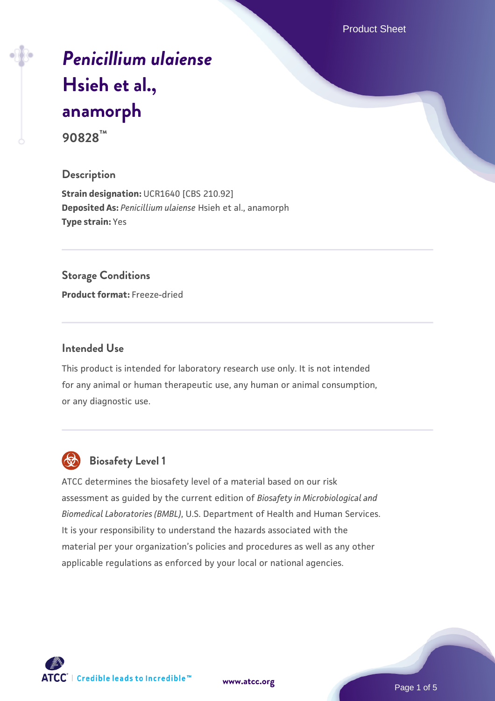Product Sheet

# *[Penicillium ulaiense](https://www.atcc.org/products/90828)* **[Hsieh et al.,](https://www.atcc.org/products/90828) [anamorph](https://www.atcc.org/products/90828)**

**90828™**

#### **Description**

**Strain designation: UCR1640 [CBS 210.92] Deposited As:** *Penicillium ulaiense* Hsieh et al., anamorph **Type strain:** Yes

#### **Storage Conditions**

**Product format:** Freeze-dried

#### **Intended Use**

This product is intended for laboratory research use only. It is not intended for any animal or human therapeutic use, any human or animal consumption, or any diagnostic use.



# **Biosafety Level 1**

ATCC determines the biosafety level of a material based on our risk assessment as guided by the current edition of *Biosafety in Microbiological and Biomedical Laboratories (BMBL)*, U.S. Department of Health and Human Services. It is your responsibility to understand the hazards associated with the material per your organization's policies and procedures as well as any other applicable regulations as enforced by your local or national agencies.

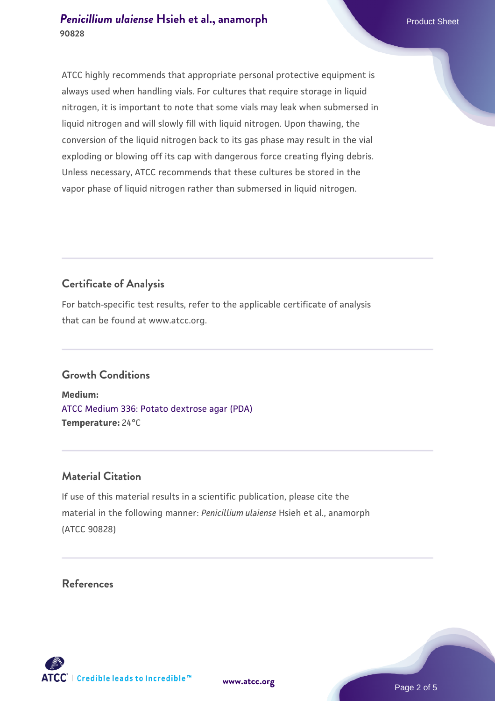ATCC highly recommends that appropriate personal protective equipment is always used when handling vials. For cultures that require storage in liquid nitrogen, it is important to note that some vials may leak when submersed in liquid nitrogen and will slowly fill with liquid nitrogen. Upon thawing, the conversion of the liquid nitrogen back to its gas phase may result in the vial exploding or blowing off its cap with dangerous force creating flying debris. Unless necessary, ATCC recommends that these cultures be stored in the vapor phase of liquid nitrogen rather than submersed in liquid nitrogen.

# **Certificate of Analysis**

For batch-specific test results, refer to the applicable certificate of analysis that can be found at www.atcc.org.

## **Growth Conditions**

**Medium:**  [ATCC Medium 336: Potato dextrose agar \(PDA\)](https://www.atcc.org/-/media/product-assets/documents/microbial-media-formulations/3/3/6/atcc-medium-336.pdf?rev=d9160ad44d934cd8b65175461abbf3b9) **Temperature:** 24°C

## **Material Citation**

If use of this material results in a scientific publication, please cite the material in the following manner: *Penicillium ulaiense* Hsieh et al., anamorph (ATCC 90828)

#### **References**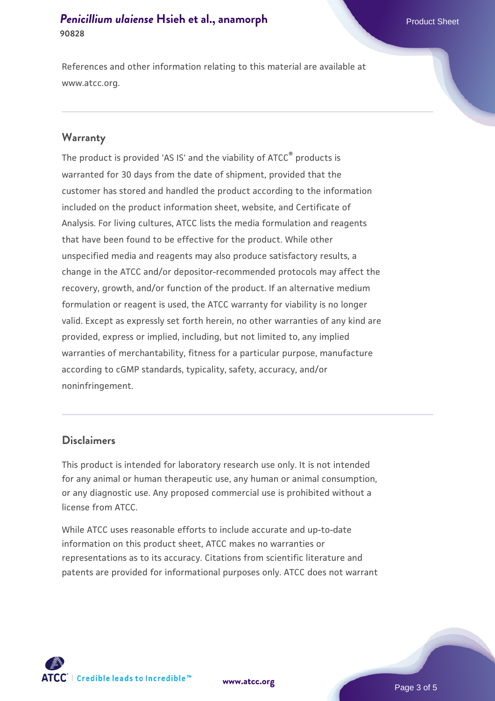References and other information relating to this material are available at www.atcc.org.

#### **Warranty**

The product is provided 'AS IS' and the viability of ATCC® products is warranted for 30 days from the date of shipment, provided that the customer has stored and handled the product according to the information included on the product information sheet, website, and Certificate of Analysis. For living cultures, ATCC lists the media formulation and reagents that have been found to be effective for the product. While other unspecified media and reagents may also produce satisfactory results, a change in the ATCC and/or depositor-recommended protocols may affect the recovery, growth, and/or function of the product. If an alternative medium formulation or reagent is used, the ATCC warranty for viability is no longer valid. Except as expressly set forth herein, no other warranties of any kind are provided, express or implied, including, but not limited to, any implied warranties of merchantability, fitness for a particular purpose, manufacture according to cGMP standards, typicality, safety, accuracy, and/or noninfringement.

#### **Disclaimers**

This product is intended for laboratory research use only. It is not intended for any animal or human therapeutic use, any human or animal consumption, or any diagnostic use. Any proposed commercial use is prohibited without a license from ATCC.

While ATCC uses reasonable efforts to include accurate and up-to-date information on this product sheet, ATCC makes no warranties or representations as to its accuracy. Citations from scientific literature and patents are provided for informational purposes only. ATCC does not warrant

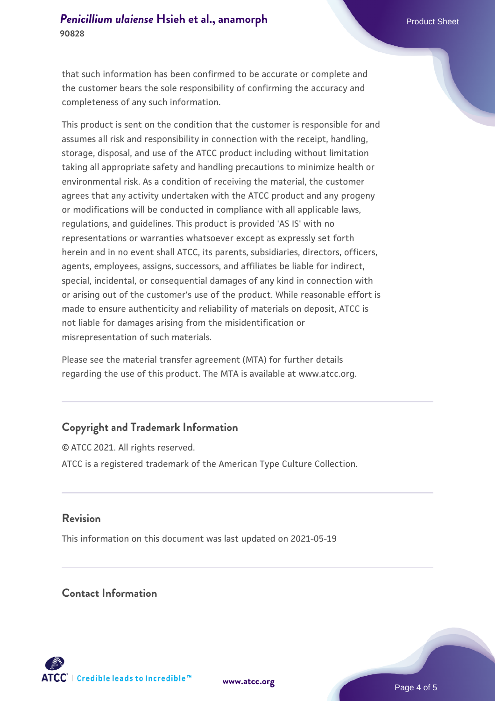that such information has been confirmed to be accurate or complete and the customer bears the sole responsibility of confirming the accuracy and completeness of any such information.

This product is sent on the condition that the customer is responsible for and assumes all risk and responsibility in connection with the receipt, handling, storage, disposal, and use of the ATCC product including without limitation taking all appropriate safety and handling precautions to minimize health or environmental risk. As a condition of receiving the material, the customer agrees that any activity undertaken with the ATCC product and any progeny or modifications will be conducted in compliance with all applicable laws, regulations, and guidelines. This product is provided 'AS IS' with no representations or warranties whatsoever except as expressly set forth herein and in no event shall ATCC, its parents, subsidiaries, directors, officers, agents, employees, assigns, successors, and affiliates be liable for indirect, special, incidental, or consequential damages of any kind in connection with or arising out of the customer's use of the product. While reasonable effort is made to ensure authenticity and reliability of materials on deposit, ATCC is not liable for damages arising from the misidentification or misrepresentation of such materials.

Please see the material transfer agreement (MTA) for further details regarding the use of this product. The MTA is available at www.atcc.org.

## **Copyright and Trademark Information**

© ATCC 2021. All rights reserved. ATCC is a registered trademark of the American Type Culture Collection.

#### **Revision**

This information on this document was last updated on 2021-05-19

#### **Contact Information**



**[www.atcc.org](http://www.atcc.org)**